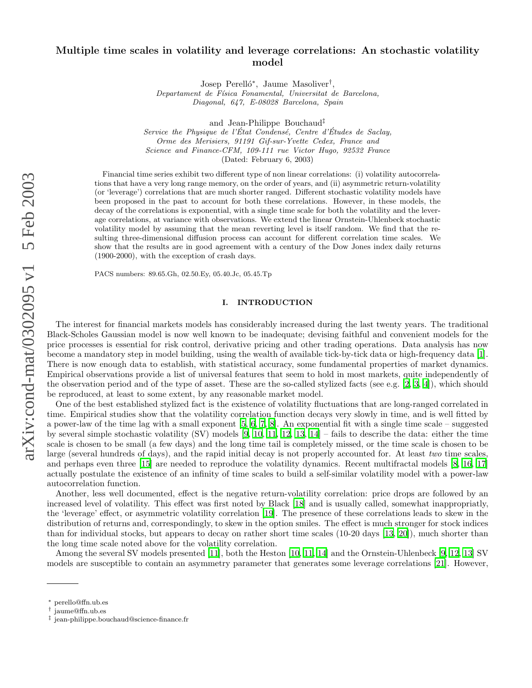# Multiple time scales in volatility and leverage correlations: An stochastic volatility model

Josep Perelló<sup>\*</sup>, Jaume Masoliver<sup>†</sup>, Departament de Física Fonamental, Universitat de Barcelona, Diagonal, 647, E-08028 Barcelona, Spain

and Jean-Philippe Bouchaud ‡

Service the Physique de l'État Condensé, Centre d'Études de Saclay, Orme des Merisiers, 91191 Gif-sur-Yvette Cedex, France and Science and Finance-CFM, 109-111 rue Victor Hugo, 92532 France (Dated: February 6, 2003)

Financial time series exhibit two different type of non linear correlations: (i) volatility autocorrelations that have a very long range memory, on the order of years, and (ii) asymmetric return-volatility (or 'leverage') correlations that are much shorter ranged. Different stochastic volatility models have been proposed in the past to account for both these correlations. However, in these models, the decay of the correlations is exponential, with a single time scale for both the volatility and the leverage correlations, at variance with observations. We extend the linear Ornstein-Uhlenbeck stochastic volatility model by assuming that the mean reverting level is itself random. We find that the resulting three-dimensional diffusion process can account for different correlation time scales. We show that the results are in good agreement with a century of the Dow Jones index daily returns (1900-2000), with the exception of crash days.

PACS numbers: 89.65.Gh, 02.50.Ey, 05.40.Jc, 05.45.Tp

#### I. INTRODUCTION

The interest for financial markets models has considerably increased during the last twenty years. The traditional Black-Scholes Gaussian model is now well known to be inadequate; devising faithful and convenient models for the price processes is essential for risk control, derivative pricing and other trading operations. Data analysis has now become a mandatory step in model building, using the wealth of available tick-by-tick data or high-frequency data [\[1\]](#page-17-0). There is now enough data to establish, with statistical accuracy, some fundamental properties of market dynamics. Empirical observations provide a list of universal features that seem to hold in most markets, quite independently of the observation period and of the type of asset. These are the so-called stylized facts (see e.g. [\[2,](#page-17-1) [3,](#page-17-2) [4\]](#page-17-3)), which should be reproduced, at least to some extent, by any reasonable market model.

One of the best established stylized fact is the existence of volatility fluctuations that are long-ranged correlated in time. Empirical studies show that the volatility correlation function decays very slowly in time, and is well fitted by a power-law of the time lag with a small exponent  $[5, 6, 7, 8]$  $[5, 6, 7, 8]$  $[5, 6, 7, 8]$  $[5, 6, 7, 8]$ . An exponential fit with a single time scale – suggested by several simple stochastic volatility (SV) models [\[9,](#page-17-8) [10,](#page-17-9) [11](#page-17-10), [12](#page-17-11), [13,](#page-17-12) [14\]](#page-17-13) – fails to describe the data: either the time scale is chosen to be small (a few days) and the long time tail is completely missed, or the time scale is chosen to be large (several hundreds of days), and the rapid initial decay is not properly accounted for. At least two time scales, and perhaps even three [\[15\]](#page-17-14) are needed to reproduce the volatility dynamics. Recent multifractal models [\[8,](#page-17-7) [16,](#page-17-15) [17](#page-17-16)] actually postulate the existence of an infinity of time scales to build a self-similar volatility model with a power-law autocorrelation function.

Another, less well documented, effect is the negative return-volatility correlation: price drops are followed by an increased level of volatility. This effect was first noted by Black [\[18\]](#page-17-17) and is usually called, somewhat inappropriatly, the 'leverage' effect, or asymmetric volatility correlation [\[19\]](#page-17-18). The presence of these correlations leads to skew in th e distribution of returns and, correspondingly, to skew in the option smiles. The effect is much stronger for stock indices than for individual stocks, but appears to decay on rather short time scales (10-20 days [\[13,](#page-17-12) [20\]](#page-17-19)), much shorter than the long time scale noted above for the volatility correlation.

Among the several SV models presented [\[11\]](#page-17-10), both the Heston [\[10,](#page-17-9) [11](#page-17-10), [14\]](#page-17-13) and the Ornstein-Uhlenbeck [\[9,](#page-17-8) [12](#page-17-11), [13\]](#page-17-12) SV models are susceptible to contain an asymmetry parameter that generates some leverage correlations [\[21](#page-17-20)]. However,

<sup>∗</sup> perello@ffn.ub.es

<sup>†</sup> jaume@ffn.ub.es

<sup>‡</sup> jean-philippe.bouchaud@science-finance.fr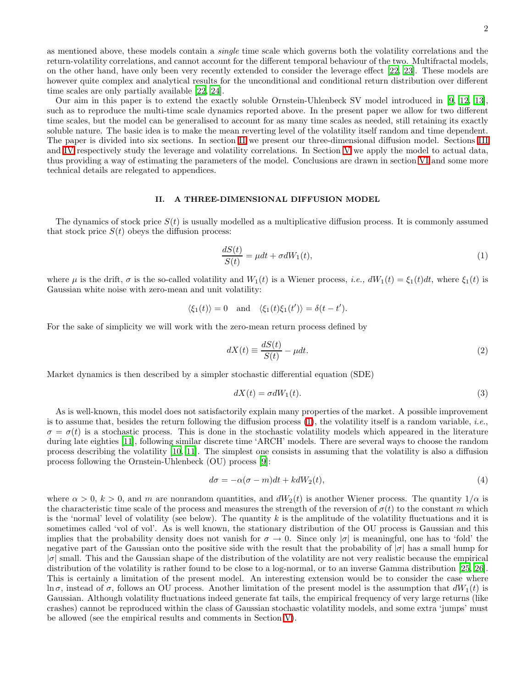as mentioned above, these models contain a single time scale which governs both the volatility correlations and the return-volatility correlations, and cannot account for the different temporal behaviour of the two. Multifractal models, on the other hand, have only been very recently extended to consider the leverage effect [\[22,](#page-17-21) [23](#page-17-22)]. These models are however quite complex and analytical results for the unconditional and conditional return distribution over different time scales are only partially available [\[22,](#page-17-21) [24\]](#page-18-0).

Our aim in this paper is to extend the exactly soluble Ornstein-Uhlenbeck SV model introduced in [\[9](#page-17-8), [12](#page-17-11), [13\]](#page-17-12), such as to reproduce the multi-time scale dynamics reported above. In the present paper we allow for two different time scales, but the model can be generalised to account for as many time scales as needed, still retaining its exactly soluble nature. The basic idea is to make the mean reverting level of the volatility itself random and time dependent. The paper is divided into six sections. In section [II](#page-1-0) we present our three-dimensional diffusion model. Sections [III](#page-3-0) and [IV](#page-5-0) respectively study the leverage and volatility correlations. In Section [V](#page-7-0) we apply the model to actual data, thus providing a way of estimating the parameters of the model. Conclusions are drawn in section [VI](#page-12-0) and some more technical details are relegated to appendices.

# <span id="page-1-1"></span>II. A THREE-DIMENSIONAL DIFFUSION MODEL

<span id="page-1-0"></span>The dynamics of stock price  $S(t)$  is usually modelled as a multiplicative diffusion process. It is commonly assumed that stock price  $S(t)$  obeys the diffusion process:

$$
\frac{dS(t)}{S(t)} = \mu dt + \sigma dW_1(t),\tag{1}
$$

where  $\mu$  is the drift,  $\sigma$  is the so-called volatility and  $W_1(t)$  is a Wiener process, *i.e.*,  $dW_1(t) = \xi_1(t)dt$ , where  $\xi_1(t)$  is Gaussian white noise with zero-mean and unit volatility:

$$
\langle \xi_1(t) \rangle = 0
$$
 and  $\langle \xi_1(t) \xi_1(t') \rangle = \delta(t - t').$ 

For the sake of simplicity we will work with the zero-mean return process defined by

$$
dX(t) \equiv \frac{dS(t)}{S(t)} - \mu dt.
$$
\n(2)

Market dynamics is then described by a simpler stochastic differential equation (SDE)

<span id="page-1-3"></span>
$$
dX(t) = \sigma dW_1(t). \tag{3}
$$

As is well-known, this model does not satisfactorily explain many properties of the market. A possible improvement is to assume that, besides the return following the diffusion process  $(1)$ , the volatility itself is a random variable, *i.e.*,  $\sigma = \sigma(t)$  is a stochastic process. This is done in the stochastic volatility models which appeared in the literature during late eighties [\[11](#page-17-10)], following similar discrete time 'ARCH' models. There are several ways to choose the random process describing the volatility [\[10,](#page-17-9) [11\]](#page-17-10). The simplest one consists in assuming that the volatility is also a diffusion process following the Ornstein-Uhlenbeck (OU) process [\[9](#page-17-8)]:

<span id="page-1-2"></span>
$$
d\sigma = -\alpha(\sigma - m)dt + kdW_2(t),\tag{4}
$$

where  $\alpha > 0$ ,  $k > 0$ , and m are nonrandom quantities, and  $dW_2(t)$  is another Wiener process. The quantity  $1/\alpha$  is the characteristic time scale of the process and measures the strength of the reversion of  $\sigma(t)$  to the constant m which is the 'normal' level of volatility (see below). The quantity  $k$  is the amplitude of the volatility fluctuations and it is sometimes called 'vol of vol'. As is well known, the stationary distribution of the OU process is Gaussian and this implies that the probability density does not vanish for  $\sigma \to 0$ . Since only  $|\sigma|$  is meaningful, one has to 'fold' the negative part of the Gaussian onto the positive side with the result that the probability of  $|\sigma|$  has a small hump for  $|\sigma|$  small. This and the Gaussian shape of the distribution of the volatility are not very realistic because the empirical distribution of the volatility is rather found to be close to a log-normal, or to an inverse Gamma distribution [\[25,](#page-18-1) [26\]](#page-18-2). This is certainly a limitation of the present model. An interesting extension would be to consider the case where ln  $\sigma$ , instead of  $\sigma$ , follows an OU process. Another limitation of the present model is the assumption that  $dW_1(t)$  is Gaussian. Although volatility fluctuations indeed generate fat tails, the empirical frequency of very large returns (like crashes) cannot be reproduced within the class of Gaussian stochastic volatility models, and some extra 'jumps' must be allowed (see the empirical results and comments in Section [V\)](#page-7-0).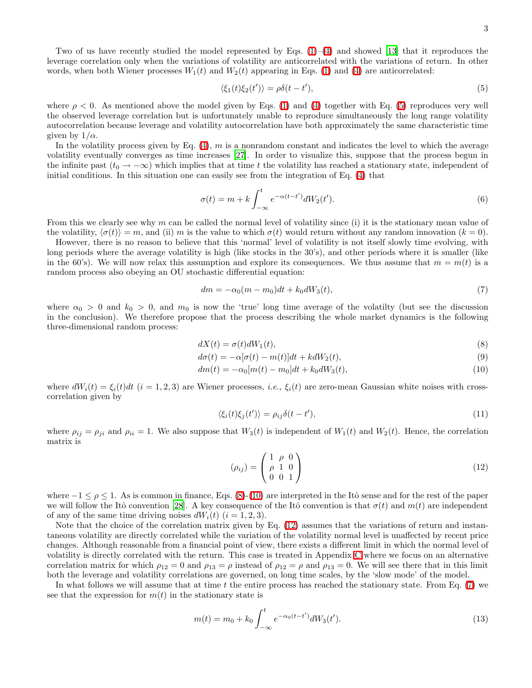3

Two of us have recently studied the model represented by Eqs.  $(1)-(4)$  $(1)-(4)$  $(1)-(4)$  and showed [\[13](#page-17-12)] that it reproduces the leverage correlation only when the variations of volatility are anticorrelated with the variations of return. In other words, when both Wiener processes  $W_1(t)$  and  $W_2(t)$  appearing in Eqs. [\(1\)](#page-1-1) and [\(4\)](#page-1-2) are anticorrelated:

<span id="page-2-0"></span>
$$
\langle \xi_1(t)\xi_2(t')\rangle = \rho \delta(t-t'),\tag{5}
$$

where  $\rho < 0$ . As mentioned above the model given by Eqs. [\(1\)](#page-1-1) and [\(4\)](#page-1-2) together with Eq. [\(5\)](#page-2-0) reproduces very well the observed leverage correlation but is unfortunately unable to reproduce simultaneously the long range volatility autocorrelation because leverage and volatility autocorrelation have both approximately the same characteristic time given by  $1/\alpha$ .

In the volatility process given by Eq.  $(4)$ , m is a nonrandom constant and indicates the level to which the average volatility eventually converges as time increases [\[27\]](#page-18-3). In order to visualize this, suppose that the process begun in the infinite past  $(t_0 \to -\infty)$  which implies that at time t the volatility has reached a stationary state, independent of initial conditions. In this situation one can easily see from the integration of Eq. [\(4\)](#page-1-2) that

<span id="page-2-4"></span>
$$
\sigma(t) = m + k \int_{-\infty}^{t} e^{-\alpha(t - t')} dW_2(t'). \tag{6}
$$

From this we clearly see why m can be called the normal level of volatility since (i) it is the stationary mean value of the volatility,  $\langle \sigma(t) \rangle = m$ , and (ii) m is the value to which  $\sigma(t)$  would return without any random innovation (k = 0).

However, there is no reason to believe that this 'normal' level of volatility is not itself slowly time evolving, with long periods where the average volatility is high (like stocks in the 30's), and other periods where it is smaller (like in the 60's). We will now relax this assumption and explore its consequences. We thus assume that  $m = m(t)$  is a random process also obeying an OU stochastic differential equation:

<span id="page-2-3"></span>
$$
dm = -\alpha_0 (m - m_0) dt + k_0 dW_3(t), \tag{7}
$$

where  $\alpha_0 > 0$  and  $k_0 > 0$ , and  $m_0$  is now the 'true' long time average of the volatilty (but see the discussion in the conclusion). We therefore propose that the process describing the whole market dynamics is the following three-dimensional random process:

<span id="page-2-1"></span>
$$
dX(t) = \sigma(t)dW_1(t),\tag{8}
$$

$$
d\sigma(t) = -\alpha[\sigma(t) - m(t)]dt + kdW_2(t),
$$
\n(9)

$$
dm(t) = -\alpha_0[m(t) - m_0]dt + k_0 dW_3(t),
$$
\n(10)

where  $dW_i(t) = \xi_i(t)dt$  (i = 1, 2, 3) are Wiener processes, i.e.,  $\xi_i(t)$  are zero-mean Gaussian white noises with crosscorrelation given by

$$
\langle \xi_i(t)\xi_j(t')\rangle = \rho_{ij}\delta(t-t'),\tag{11}
$$

where  $\rho_{ij} = \rho_{ji}$  and  $\rho_{ii} = 1$ . We also suppose that  $W_3(t)$  is independent of  $W_1(t)$  and  $W_2(t)$ . Hence, the correlation matrix is

<span id="page-2-2"></span>
$$
(\rho_{ij}) = \begin{pmatrix} 1 & \rho & 0 \\ \rho & 1 & 0 \\ 0 & 0 & 1 \end{pmatrix}
$$
 (12)

where  $-1 \leq \rho \leq 1$ . As is common in finance, Eqs. [\(8\)](#page-2-1)-[\(10\)](#page-2-1) are interpreted in the Itô sense and for the rest of the paper we will follow the Itô convention [\[28\]](#page-18-4). A key consequence of the Itô convention is that  $\sigma(t)$  and  $m(t)$  are independent of any of the same time driving noises  $dW_i(t)$   $(i = 1, 2, 3)$ .

Note that the choice of the correlation matrix given by Eq. [\(12\)](#page-2-2) assumes that the variations of return and instantaneous volatility are directly correlated while the variation of the volatility normal level is unaffected by recent price changes. Although reasonable from a financial point of view, there exists a different limit in which the normal level of volatility is directly correlated with the return. This case is treated in Appendix [C](#page-15-0) where we focus on an alternative correlation matrix for which  $\rho_{12} = 0$  and  $\rho_{13} = \rho$  instead of  $\rho_{12} = \rho$  and  $\rho_{13} = 0$ . We will see there that in this limit both the leverage and volatility correlations are governed, on long time scales, by the 'slow mode' of the model.

In what follows we will assume that at time t the entire process has reached the stationary state. From Eq.  $(7)$  we see that the expression for  $m(t)$  in the stationary state is

<span id="page-2-5"></span>
$$
m(t) = m_0 + k_0 \int_{-\infty}^{t} e^{-\alpha_0 (t - t')} dW_3(t').
$$
\n(13)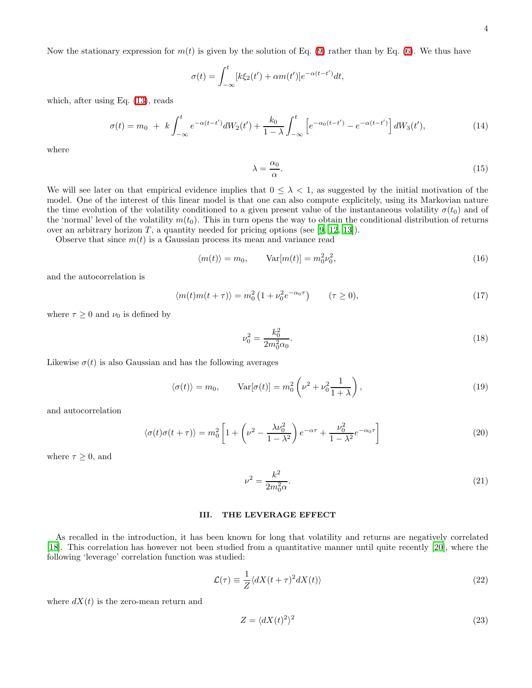Now the stationary expression for  $m(t)$  is given by the solution of Eq. [\(9\)](#page-2-1) rather than by Eq. [\(6\)](#page-2-4). We thus have

$$
\sigma(t) = \int_{-\infty}^{t} [k\xi_2(t') + \alpha m(t')] e^{-\alpha(t-t')} dt,
$$

<span id="page-3-8"></span>which, after using Eq. [\(13\)](#page-2-5), reads

$$
\sigma(t) = m_0 + k \int_{-\infty}^t e^{-\alpha(t-t')} dW_2(t') + \frac{k_0}{1-\lambda} \int_{-\infty}^t \left[ e^{-\alpha_0(t-t')} - e^{-\alpha(t-t')} \right] dW_3(t'), \tag{14}
$$

where

<span id="page-3-5"></span>
$$
\lambda = \frac{\alpha_0}{\alpha}.\tag{15}
$$

We will see later on that empirical evidence implies that  $0 \leq \lambda < 1$ , as suggested by the initial motivation of the model. One of the interest of this linear model is that one can also compute explicitely, using its Markovian nature the time evolution of the volatility conditioned to a given present value of the instantaneous volatility  $\sigma(t_0)$  and of the 'normal' level of the volatility  $m(t_0)$ . This in turn opens the way to obtain the conditional distribution of returns over an arbitrary horizon  $T$ , a quantity needed for pricing options (see [\[9,](#page-17-8) [12,](#page-17-11) [13](#page-17-12)]).

Observe that since  $m(t)$  is a Gaussian process its mean and variance read

$$
\langle m(t) \rangle = m_0, \qquad \text{Var}[m(t)] = m_0^2 \nu_0^2,\tag{16}
$$

and the autocorrelation is

<span id="page-3-6"></span>
$$
\langle m(t)m(t+\tau) \rangle = m_0^2 \left( 1 + \nu_0^2 e^{-\alpha_0 \tau} \right) \qquad (\tau \ge 0), \tag{17}
$$

where  $\tau \geq 0$  and  $\nu_0$  is defined by

$$
\nu_0^2 = \frac{k_0^2}{2m_0^2 \alpha_0}.\tag{18}
$$

Likewise  $\sigma(t)$  is also Gaussian and has the following averages

$$
\langle \sigma(t) \rangle = m_0, \qquad \text{Var}[\sigma(t)] = m_0^2 \left( \nu^2 + \nu_0^2 \frac{1}{1+\lambda} \right), \tag{19}
$$

<span id="page-3-1"></span>and autocorrelation

<span id="page-3-3"></span>
$$
\langle \sigma(t)\sigma(t+\tau) \rangle = m_0^2 \left[ 1 + \left( \nu^2 - \frac{\lambda \nu_0^2}{1 - \lambda^2} \right) e^{-\alpha \tau} + \frac{\nu_0^2}{1 - \lambda^2} e^{-\alpha \tau} \right]
$$
(20)

where  $\tau \geq 0$ , and

$$
\nu^2 = \frac{k^2}{2m_0^2 \alpha}.\tag{21}
$$

### <span id="page-3-7"></span><span id="page-3-0"></span>III. THE LEVERAGE EFFECT

As recalled in the introduction, it has been known for long that volatility and returns are negatively correlated [\[18\]](#page-17-17). This correlation has however not been studied from a quantitative manner until quite recently [\[20\]](#page-17-19), where the following 'leverage' correlation function was studied:

<span id="page-3-4"></span><span id="page-3-2"></span>
$$
\mathcal{L}(\tau) \equiv \frac{1}{Z} \langle dX(t+\tau)^2 dX(t) \rangle \tag{22}
$$

where  $dX(t)$  is the zero-mean return and

$$
Z = \langle dX(t)^2 \rangle^2 \tag{23}
$$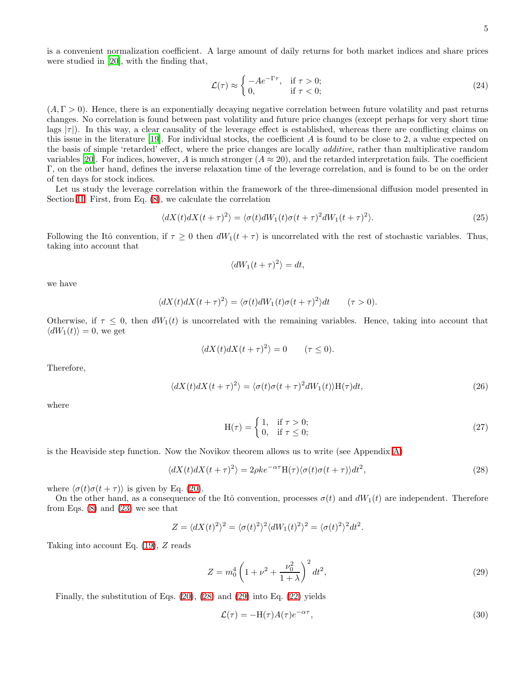is a convenient normalization coefficient. A large amount of daily returns for both market indices and share prices were studied in [\[20](#page-17-19)], with the finding that,

<span id="page-4-3"></span>
$$
\mathcal{L}(\tau) \approx \begin{cases}\n-Ae^{-\Gamma \tau}, & \text{if } \tau > 0; \\
0, & \text{if } \tau < 0;\n\end{cases}
$$
\n(24)

 $(A, \Gamma > 0)$ . Hence, there is an exponentially decaying negative correlation between future volatility and past returns changes. No correlation is found between past volatility and future price changes (except perhaps for very short time lags  $|\tau|$ ). In this way, a clear causality of the leverage effect is established, whereas there are conflicting claims on this issue in the literature  $[19]$ . For individual stocks, the coefficient A is found to be close to 2, a value expected on the basis of simple 'retarded' effect, where the price changes are locally additive, rather than multiplicative random variables [\[20\]](#page-17-19). For indices, however, A is much stronger  $(A \approx 20)$ , and the retarded interpretation fails. The coefficient Γ, on the other hand, defines the inverse relaxation time of the leverage correlation, and is found to be on the order of ten days for stock indices.

Let us study the leverage correlation within the framework of the three-dimensional diffusion model presented in Section [II.](#page-1-0) First, from Eq. [\(8\)](#page-2-1), we calculate the correlation

$$
\langle dX(t)dX(t+\tau)^2 \rangle = \langle \sigma(t)dW_1(t)\sigma(t+\tau)^2dW_1(t+\tau)^2 \rangle. \tag{25}
$$

Following the Itô convention, if  $\tau \geq 0$  then  $dW_1(t + \tau)$  is uncorrelated with the rest of stochastic variables. Thus, taking into account that

$$
\langle dW_1(t+\tau)^2 \rangle = dt,
$$

we have

$$
\langle dX(t)dX(t+\tau)^2 \rangle = \langle \sigma(t)dW_1(t)\sigma(t+\tau)^2 \rangle dt \qquad (\tau > 0).
$$

Otherwise, if  $\tau \leq 0$ , then  $dW_1(t)$  is uncorrelated with the remaining variables. Hence, taking into account that  $\langle dW_1(t)\rangle = 0$ , we get

$$
\langle dX(t)dX(t+\tau)^2 \rangle = 0 \qquad (\tau \le 0).
$$

Therefore,

<span id="page-4-4"></span>
$$
\langle dX(t)dX(t+\tau)^2 \rangle = \langle \sigma(t)\sigma(t+\tau)^2 dW_1(t) \rangle \mathcal{H}(\tau) dt, \tag{26}
$$

where

$$
H(\tau) = \begin{cases} 1, & \text{if } \tau > 0; \\ 0, & \text{if } \tau \le 0; \end{cases}
$$
 (27)

<span id="page-4-0"></span>is the Heaviside step function. Now the Novikov theorem allows us to write (see Appendix [A\)](#page-12-1)

$$
\langle dX(t)dX(t+\tau)^2 \rangle = 2\rho k e^{-\alpha \tau} H(\tau) \langle \sigma(t)\sigma(t+\tau) \rangle dt^2, \tag{28}
$$

where  $\langle \sigma(t) \sigma(t + \tau) \rangle$  is given by Eq. [\(20\)](#page-3-1).

On the other hand, as a consequence of the Itô convention, processes  $\sigma(t)$  and  $dW_1(t)$  are independent. Therefore from Eqs.  $(8)$  and  $(23)$  we see that

<span id="page-4-1"></span>
$$
Z = \langle dX(t)^2 \rangle^2 = \langle \sigma(t)^2 \rangle^2 \langle dW_1(t)^2 \rangle^2 = \langle \sigma(t)^2 \rangle^2 dt^2.
$$

Taking into account Eq. [\(19\)](#page-3-3), Z reads

$$
Z = m_0^4 \left( 1 + \nu^2 + \frac{\nu_0^2}{1 + \lambda} \right)^2 dt^2, \tag{29}
$$

Finally, the substitution of Eqs. [\(20\)](#page-3-1), [\(28\)](#page-4-0) and [\(29\)](#page-4-1) into Eq. [\(22\)](#page-3-4) yields

<span id="page-4-2"></span>
$$
\mathcal{L}(\tau) = -H(\tau)A(\tau)e^{-\alpha\tau},\tag{30}
$$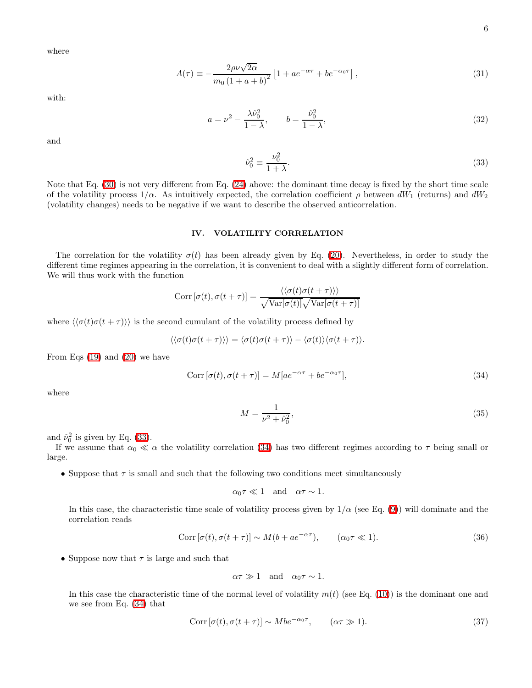where

<span id="page-5-6"></span><span id="page-5-5"></span>
$$
A(\tau) \equiv -\frac{2\rho\nu\sqrt{2\alpha}}{m_0\left(1+a+b\right)^2} \left[1+ae^{-\alpha\tau}+be^{-\alpha_0\tau}\right],\tag{31}
$$

with:

<span id="page-5-1"></span>
$$
a = \nu^2 - \frac{\lambda \hat{\nu}_0^2}{1 - \lambda}, \qquad b = \frac{\hat{\nu}_0^2}{1 - \lambda}, \tag{32}
$$

and

$$
\hat{\nu}_0^2 \equiv \frac{\nu_0^2}{1+\lambda}.\tag{33}
$$

Note that Eq. [\(30\)](#page-4-2) is not very different from Eq. [\(24\)](#page-4-3) above: the dominant time decay is fixed by the short time scale of the volatility process  $1/\alpha$ . As intuitively expected, the correlation coefficient  $\rho$  between  $dW_1$  (returns) and  $dW_2$ (volatility changes) needs to be negative if we want to describe the observed anticorrelation.

### <span id="page-5-0"></span>IV. VOLATILITY CORRELATION

The correlation for the volatility  $\sigma(t)$  has been already given by Eq. [\(20\)](#page-3-1). Nevertheless, in order to study the different time regimes appearing in the correlation, it is convenient to deal with a slightly different form of correlation. We will thus work with the function

$$
Corr\left[\sigma(t), \sigma(t+\tau)\right] = \frac{\langle\langle\sigma(t)\sigma(t+\tau)\rangle\rangle}{\sqrt{\text{Var}[\sigma(t)]}\sqrt{\text{Var}[\sigma(t+\tau)]}}
$$

where  $\langle\langle\sigma(t)\sigma(t + \tau)\rangle\rangle$  is the second cumulant of the volatility process defined by

<span id="page-5-2"></span>
$$
\langle\langle\sigma(t)\sigma(t+\tau)\rangle\rangle=\langle\sigma(t)\sigma(t+\tau)\rangle-\langle\sigma(t)\rangle\langle\sigma(t+\tau)\rangle.
$$

From Eqs [\(19\)](#page-3-3) and [\(20\)](#page-3-1) we have

$$
Corr [\sigma(t), \sigma(t+\tau)] = M[ae^{-\alpha\tau} + be^{-\alpha_0\tau}],
$$
\n(34)

where

$$
M = \frac{1}{\nu^2 + \hat{\nu}_0^2},\tag{35}
$$

and  $\hat{\nu}_0^2$  is given by Eq. [\(33\)](#page-5-1).

If we assume that  $\alpha_0 \ll \alpha$  the volatility correlation [\(34\)](#page-5-2) has two different regimes according to  $\tau$  being small or large.

• Suppose that  $\tau$  is small and such that the following two conditions meet simultaneously

 $\alpha_0 \tau \ll 1$  and  $\alpha \tau \sim 1$ .

<span id="page-5-3"></span>In this case, the characteristic time scale of volatility process given by  $1/\alpha$  (see Eq. [\(9\)](#page-2-1)) will dominate and the correlation reads

Corr
$$
[\sigma(t), \sigma(t+\tau)] \sim M(b + ae^{-\alpha\tau}),
$$
  $(\alpha_0 \tau \ll 1).$  (36)

• Suppose now that  $\tau$  is large and such that

$$
\alpha \tau \gg 1
$$
 and  $\alpha_0 \tau \sim 1$ .

In this case the characteristic time of the normal level of volatility  $m(t)$  (see Eq. [\(10\)](#page-2-1)) is the dominant one and we see from Eq. [\(34\)](#page-5-2) that

<span id="page-5-4"></span>
$$
Corr \left[ \sigma(t), \sigma(t+\tau) \right] \sim Mbe^{-\alpha_0 \tau}, \qquad (\alpha \tau \gg 1). \tag{37}
$$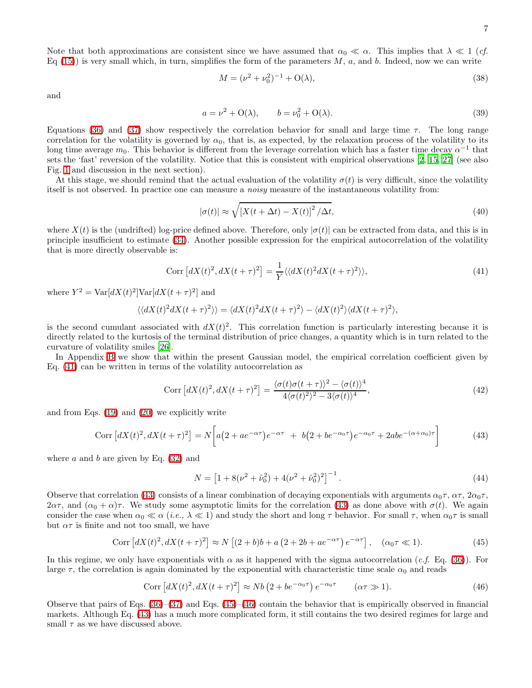Note that both approximations are consistent since we have assumed that  $\alpha_0 \ll \alpha$ . This implies that  $\lambda \ll 1$  (*cf.*) Eq [\(15\)](#page-3-5)) is very small which, in turn, simplifies the form of the parameters  $M$ ,  $a$ , and  $b$ . Indeed, now we can write

$$
M = (\nu^2 + \nu_0^2)^{-1} + O(\lambda),\tag{38}
$$

and

$$
a = \nu^2 + \mathcal{O}(\lambda), \qquad b = \nu_0^2 + \mathcal{O}(\lambda). \tag{39}
$$

Equations [\(36\)](#page-5-3) and [\(37\)](#page-5-4) show respectively the correlation behavior for small and large time  $\tau$ . The long range correlation for the volatility is governed by  $\alpha_0$ , that is, as expected, by the relaxation process of the volatility to its long time average  $m_0$ . This behavior is different from the leverage correlation which has a faster time decay  $\alpha^{-1}$  that sets the 'fast' reversion of the volatility. Notice that this is consistent with empirical observations [\[2,](#page-17-1) [15,](#page-17-14) [27\]](#page-18-3) (see also Fig. [1](#page-7-1) and discussion in the next section).

At this stage, we should remind that the actual evaluation of the volatility  $\sigma(t)$  is very difficult, since the volatility itself is not observed. In practice one can measure a *noisy* measure of the instantaneous volatility from:

$$
|\sigma(t)| \approx \sqrt{\left[X(t + \Delta t) - X(t)\right]^2 / \Delta t},\tag{40}
$$

where  $X(t)$  is the (undrifted) log-price defined above. Therefore, only  $|\sigma(t)|$  can be extracted from data, and this is in principle insufficient to estimate [\(34\)](#page-5-2). Another possible expression for the empirical autocorrelation of the volatility that is more directly observable is:

$$
Corr\left[dX(t)^{2}, dX(t+\tau)^{2}\right] = \frac{1}{Y}\langle\langle dX(t)^{2}dX(t+\tau)^{2}\rangle\rangle,
$$
\n(41)

where  $Y^2 = \text{Var}[dX(t)^2] \text{Var}[dX(t+\tau)^2]$  and

<span id="page-6-0"></span>
$$
\langle \langle dX(t)^2 dX(t+\tau)^2 \rangle \rangle = \langle dX(t)^2 dX(t+\tau)^2 \rangle - \langle dX(t)^2 \rangle \langle dX(t+\tau)^2 \rangle,
$$

is the second cumulant associated with  $dX(t)^2$ . This correlation function is particularly interesting because it is directly related to the kurtosis of the terminal distribution of price changes, a quantity which is in turn related to the curvature of volatility smiles [\[26](#page-18-2)].

In Appendix [B](#page-13-0) we show that within the present Gaussian model, the empirical correlation coefficient given by Eq. [\(41\)](#page-6-0) can be written in terms of the volatility autocorrelation as

$$
Corr\left[dX(t)^{2}, dX(t+\tau)^{2}\right] = \frac{\langle\sigma(t)\sigma(t+\tau)\rangle^{2} - \langle\sigma(t)\rangle^{4}}{4\langle\sigma(t)^{2}\rangle^{2} - 3\langle\sigma(t)\rangle^{4}},\tag{42}
$$

<span id="page-6-1"></span>and from Eqs. [\(19\)](#page-3-3) and [\(20\)](#page-3-1) we explicitly write

<span id="page-6-4"></span>
$$
\text{Corr}\left[dX(t)^2, dX(t+\tau)^2\right] = N\left[a\left(2 + ae^{-\alpha\tau}\right)e^{-\alpha\tau} + b\left(2 + be^{-\alpha_0\tau}\right)e^{-\alpha_0\tau} + 2abe^{-(\alpha+\alpha_0)\tau}\right] \tag{43}
$$

where  $a$  and  $b$  are given by Eq. [\(32\)](#page-5-5) and

$$
N = \left[1 + 8(\nu^2 + \hat{\nu}_0^2) + 4(\nu^2 + \hat{\nu}_0^2)^2\right]^{-1}.
$$
\n(44)

Observe that correlation [\(43\)](#page-6-1) consists of a linear combination of decaying exponentials with arguments  $\alpha_0 \tau$ ,  $\alpha \tau$ ,  $2\alpha_0 \tau$ .  $2\alpha\tau$ , and  $(\alpha_0 + \alpha)\tau$ . We study some asymptotic limits for the correlation [\(43\)](#page-6-1) as done above with  $\sigma(t)$ . We again consider the case when  $\alpha_0 \ll \alpha$  (i.e.,  $\lambda \ll 1$ ) and study the short and long  $\tau$  behavior. For small  $\tau$ , when  $\alpha_0 \tau$  is small but  $\alpha\tau$  is finite and not too small, we have

$$
Corr [dX(t)^{2}, dX(t+\tau)^{2}] \approx N [(2+b)b + a (2+2b + ae^{-\alpha\tau}) e^{-\alpha\tau}], \quad (\alpha_{0}\tau \ll 1).
$$
 (45)

<span id="page-6-3"></span><span id="page-6-2"></span>In this regime, we only have exponentials with  $\alpha$  as it happened with the sigma autocorrelation (c.f. Eq. [\(36\)](#page-5-3)). For large  $\tau$ , the correlation is again dominated by the exponential with characteristic time scale  $\alpha_0$  and reads

$$
Corr [dX(t)^{2}, dX(t+\tau)^{2}] \approx Nb \left(2 + be^{-\alpha_{0}\tau}\right) e^{-\alpha_{0}\tau} \qquad (\alpha \tau \gg 1).
$$
\n(46)

Observe that pairs of Eqs.  $(36)$ – $(37)$  and Eqs.  $(45)$ – $(46)$  contain the behavior that is empirically observed in financial markets. Although Eq. [\(43\)](#page-6-1) has a much more complicated form, it still contains the two desired regimes for large and small  $\tau$  as we have discussed above.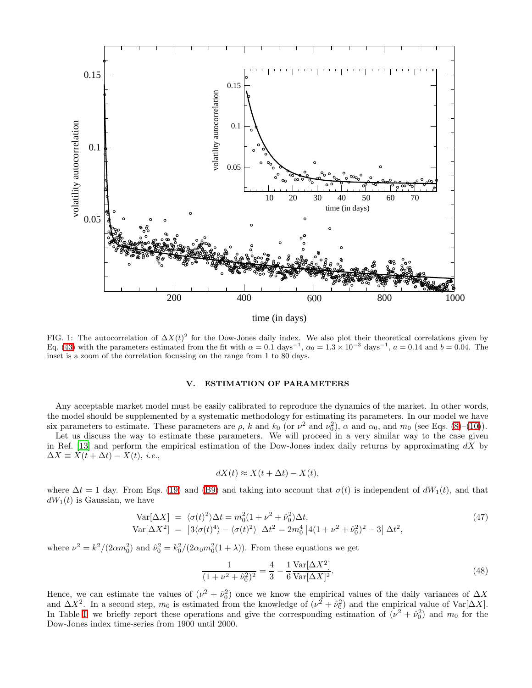

<span id="page-7-1"></span>FIG. 1: The autocorrelation of  $\Delta X(t)^2$  for the Dow-Jones daily index. We also plot their theoretical correlations given by Eq. [\(43\)](#page-6-1) with the parameters estimated from the fit with  $\alpha = 0.1 \text{ days}^{-1}$ ,  $\alpha_0 = 1.3 \times 10^{-3} \text{ days}^{-1}$ ,  $a = 0.14$  and  $b = 0.04$ . The inset is a zoom of the correlation focussing on the range from 1 to 80 days.

#### <span id="page-7-0"></span>V. ESTIMATION OF PARAMETERS

Any acceptable market model must be easily calibrated to reproduce the dynamics of the market. In other words, the model should be supplemented by a systematic methodology for estimating its parameters. In our model we have six parameters to estimate. These parameters are  $\rho$ , k and  $k_0$  (or  $\nu^2$  and  $\nu_0^2$ ),  $\alpha$  and  $\alpha_0$ , and  $m_0$  (see Eqs. [\(8\)](#page-2-1)–[\(10\)](#page-2-1)).

Let us discuss the way to estimate these parameters. We will proceed in a very similar way to the case given in Ref. [\[13](#page-17-12)] and perform the empirical estimation of the Dow-Jones index daily returns by approximating  $dX$  by  $\Delta X \equiv X(t + \Delta t) - X(t), \, i.e.,$ 

$$
dX(t) \approx X(t + \Delta t) - X(t),
$$

<span id="page-7-3"></span>where  $\Delta t = 1$  day. From Eqs. [\(19\)](#page-3-3) and [\(B9\)](#page-15-1) and taking into account that  $\sigma(t)$  is independent of  $dW_1(t)$ , and that  $dW_1(t)$  is Gaussian, we have

<span id="page-7-2"></span>
$$
\begin{aligned} \text{Var}[\Delta X] &= \langle \sigma(t)^2 \rangle \Delta t = m_0^2 (1 + \nu^2 + \hat{\nu}_0^2) \Delta t, \\ \text{Var}[\Delta X^2] &= \left[ 3 \langle \sigma(t)^4 \rangle - \langle \sigma(t)^2 \rangle \right] \Delta t^2 = 2m_0^4 \left[ 4(1 + \nu^2 + \hat{\nu}_0^2)^2 - 3 \right] \Delta t^2, \end{aligned} \tag{47}
$$

where  $\nu^2 = k^2/(2\alpha m_0^2)$  and  $\hat{\nu}_0^2 = k_0^2/(2\alpha_0 m_0^2(1+\lambda))$ . From these equations we get

$$
\frac{1}{(1+\nu^2+\hat{\nu}_0^2)^2} = \frac{4}{3} - \frac{1}{6} \frac{\text{Var}[\Delta X^2]}{\text{Var}[\Delta X]^2}.
$$
\n(48)

Hence, we can estimate the values of  $(\nu^2 + \hat{\nu}_0^2)$  once we know the empirical values of the daily variances of  $\Delta X$ and  $\Delta X^2$ . In a second step,  $m_0$  is estimated from the knowledge of  $(\nu^2 + \hat{\nu}_0^2)$  and the empirical value of Var[ $\Delta X$ ]. In Table [I,](#page-8-0) we briefly report these operations and give the corresponding estimation of  $(\nu^2 + \hat{\nu}_0^2)$  and  $m_0$  for the Dow-Jones index time-series from 1900 until 2000.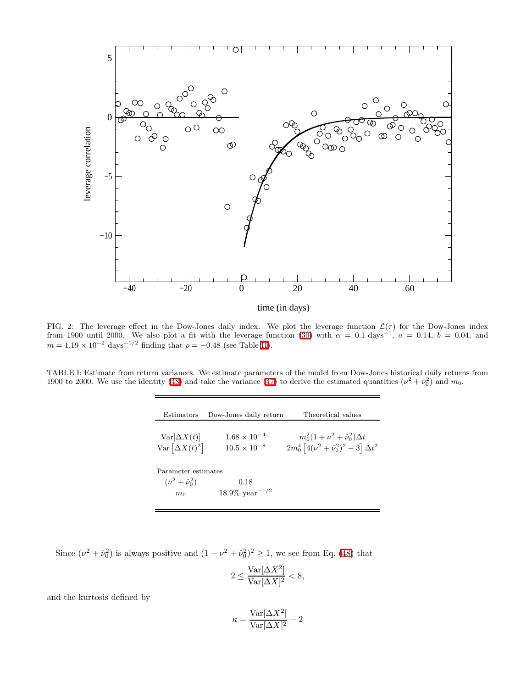

<span id="page-8-1"></span>FIG. 2: The leverage effect in the Dow-Jones daily index. We plot the leverage function  $\mathcal{L}(\tau)$  for the Dow-Jones index<br>from 1900 until 2000. We also plot a fit with the leverage function [\(30\)](#page-4-2) with  $\alpha = 0.1 \text{ days}^{-1}$ ,  $m = 1.19 \times 10^{-2}$  days<sup>-1/2</sup> finding that  $\rho = -0.48$  (see Table [II\)](#page-9-0).

<span id="page-8-0"></span>TABLE I: Estimate from return variances. We estimate parameters of the model from Dow-Jones historical daily returns from 1900 to 2000. We use the identity [\(48\)](#page-7-2) and take the variance [\(47\)](#page-7-3) to derive the estimated quantities  $(\nu^2 + \hat{\nu}_0^2)$  and  $m_0$ .

| Estimators                       | Dow-Jones daily return        | Theoretical values                                        |
|----------------------------------|-------------------------------|-----------------------------------------------------------|
|                                  | $1.68 \times 10^{-4}$         |                                                           |
| $Var[\Delta X(t)]$               |                               | $m_0^2(1+\nu^2+\hat{\nu}_0^2)\Delta t$                    |
| Var $\left[\Delta X(t)^2\right]$ | $10.5 \times 10^{-8}$         | $2m_0^4\left[4(\nu^2+\hat{\nu}_0^2)^2-3\right]\Delta t^2$ |
|                                  |                               |                                                           |
| Parameter estimates              |                               |                                                           |
| $(\nu^2 + \hat{\nu}_0^2)$        | 0.18                          |                                                           |
| m <sub>0</sub>                   | $18.9\%$ year <sup>-1/2</sup> |                                                           |
|                                  |                               |                                                           |

Since  $(\nu^2 + \hat{\nu}_0^2)$  is always positive and  $(1 + \nu^2 + \hat{\nu}_0^2)^2 \ge 1$ , we see from Eq. [\(48\)](#page-7-2) that

$$
2 \le \frac{\text{Var}[\Delta X^2]}{\text{Var}[\Delta X]^2} < 8,
$$

and the kurtosis defined by

$$
\kappa = \frac{\text{Var}[\Delta X^2]}{\text{Var}[\Delta X]^2} - 2
$$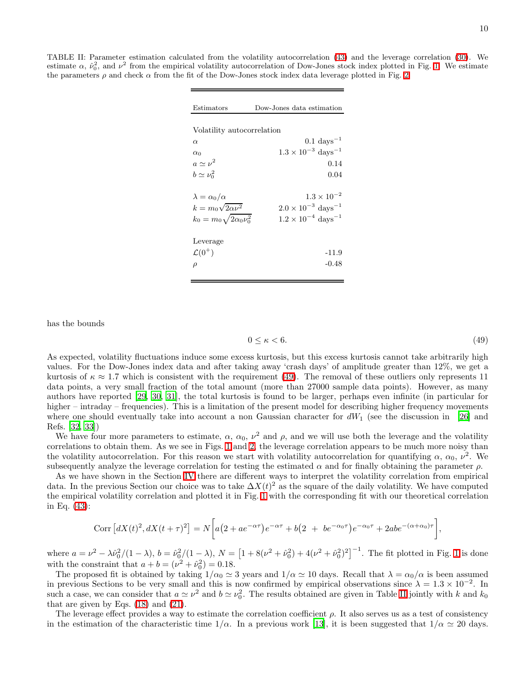<span id="page-9-0"></span>TABLE II: Parameter estimation calculated from the volatility autocorrelation [\(43\)](#page-6-1) and the leverage correlation [\(30\)](#page-4-2). We estimate  $\alpha$ ,  $\hat{\nu}_0^2$ , and  $\nu^2$  from the empirical volatility autocorrelation of Dow-Jones stock index plotted in Fig. [1.](#page-7-1) We estimate the parameters  $\rho$  and check  $\alpha$  from the fit of the Dow-Jones stock index data leverage plotted in Fig. [2.](#page-8-1)

| Estimators                            | Dow-Jones data estimation               |  |
|---------------------------------------|-----------------------------------------|--|
| Volatility autocorrelation            |                                         |  |
| $\alpha$                              | $0.1~{\rm days}^{-1}$                   |  |
| $\alpha_0$                            | $1.3 \times 10^{-3} \text{ days}^{-1}$  |  |
| $a \simeq \nu^2$                      | 0.14                                    |  |
| $b \simeq \nu_0^2$                    | 0.04                                    |  |
| $\lambda = \alpha_0/\alpha$           | $1.3 \times 10^{-2}$                    |  |
| $k = m_0 \sqrt{2 \alpha \nu^2}$       | $2.0 \times 10^{-3}$ days <sup>-1</sup> |  |
| $k_0 = m_0 \sqrt{2 \alpha_0 \nu_0^2}$ | $1.2 \times 10^{-4}$ days <sup>-1</sup> |  |
| Leverage                              |                                         |  |
| $\mathcal{L}(0^+)$                    | $-11.9$                                 |  |
| $\rho$                                | -0.48                                   |  |
|                                       |                                         |  |

has the bounds

<span id="page-9-1"></span>
$$
0 \le \kappa < 6. \tag{49}
$$

As expected, volatility fluctuations induce some excess kurtosis, but this excess kurtosis cannot take arbitrarily high values. For the Dow-Jones index data and after taking away 'crash days' of amplitude greater than 12%, we get a kurtosis of  $\kappa \approx 1.7$  which is consistent with the requirement [\(49\)](#page-9-1). The removal of these outliers only represents 11 data points, a very small fraction of the total amount (more than 27000 sample data points). However, as many authors have reported [\[29](#page-18-5), [30](#page-18-6), [31](#page-18-7)], the total kurtosis is found to be larger, perhaps even infinite (in particular for higher – intraday – frequencies). This is a limitation of the present model for describing higher frequency movements where one should eventually take into account a non Gaussian character for  $dW_1$  (see the discussion in [\[26](#page-18-2)] and Refs. [\[32,](#page-18-8) [33\]](#page-18-9))

We have four more parameters to estimate,  $\alpha$ ,  $\alpha_0$ ,  $\nu^2$  and  $\rho$ , and we will use both the leverage and the volatility correlations to obtain them. As we see in Figs. [1](#page-7-1) and [2,](#page-8-1) the leverage correlation appears to be much more noisy than the volatility autocorrelation. For this reason we start with volatility autocorrelation for quantifying  $\alpha$ ,  $\alpha_0$ ,  $\nu^2$ . We subsequently analyze the leverage correlation for testing the estimated  $\alpha$  and for finally obtaining the parameter  $\rho$ .

As we have shown in the Section [IV](#page-5-0) there are different ways to interpret the volatility correlation from empirical data. In the previous Section our choice was to take  $\Delta X(t)^2$  as the square of the daily volatility. We have computed the empirical volatility correlation and plotted it in Fig. [1](#page-7-1) with the corresponding fit with our theoretical correlation in Eq. [\(43\)](#page-6-1):

$$
\operatorname{Corr}\left[dX(t)^2,dX(t+\tau)^2\right] = N\bigg[a\big(2+ae^{-\alpha\tau}\big)e^{-\alpha\tau} + b\big(2\ +\ be^{-\alpha_0\tau}\big)e^{-\alpha_0\tau} + 2abe^{-(\alpha+\alpha_0)\tau}\bigg],
$$

where  $a = \nu^2 - \frac{\lambda \hat{\nu}_0^2}{1 - \lambda}$ ,  $b = \frac{\hat{\nu}_0^2}{1 - \lambda}$ ,  $N = \left[1 + 8(\nu^2 + \hat{\nu}_0^2) + 4(\nu^2 + \hat{\nu}_0^2)^2\right]^{-1}$ . The fit plotted in Fig. [1](#page-7-1) is done with the constraint that  $a + b = (\nu^2 + \hat{\nu}_0^2) = 0.18$ .

The proposed fit is obtained by taking  $1/\alpha_0 \simeq 3$  years and  $1/\alpha \simeq 10$  days. Recall that  $\lambda = \alpha_0/\alpha$  is been assumed in previous Sections to be very small and this is now confirmed by empirical observations since  $\lambda = 1.3 \times 10^{-2}$ . In such a case, we can consider that  $a \simeq \nu^2$  and  $b \simeq \nu_0^2$ . The results obtained are given in Table [II](#page-9-0) jointly with k and  $k_0$ that are given by Eqs.  $(18)$  and  $(21)$ .

The leverage effect provides a way to estimate the correlation coefficient  $\rho$ . It also serves us as a test of consistency in the estimation of the characteristic time  $1/\alpha$ . In a previous work [\[13\]](#page-17-12), it is been suggested that  $1/\alpha \simeq 20$  days.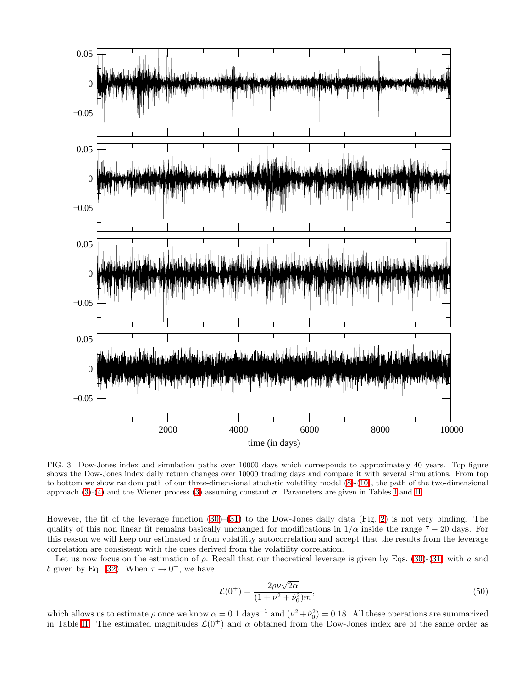

<span id="page-10-0"></span>FIG. 3: Dow-Jones index and simulation paths over 10000 days which corresponds to approximately 40 years. Top figure shows the Dow-Jones index daily return changes over 10000 trading days and compare it with several simulations. From top to bottom we show random path of our three-dimensional stochstic volatility model [\(8\)](#page-2-1)-[\(10\)](#page-2-1), the path of the two-dimensional approach [\(3\)](#page-1-3)-[\(4\)](#page-1-2) and the Wiener process (3) assuming constant  $\sigma$ . Parameters are given in Tables [I](#page-8-0) and [II.](#page-9-0)

However, the fit of the leverage function [\(30\)](#page-4-2)–[\(31\)](#page-5-6) to the Dow-Jones daily data (Fig. [2\)](#page-8-1) is not very binding. The quality of this non linear fit remains basically unchanged for modifications in  $1/\alpha$  inside the range 7 − 20 days. For this reason we will keep our estimated  $\alpha$  from volatility autocorrelation and accept that the results from the leverage correlation are consistent with the ones derived from the volatility correlation.

Let us now focus on the estimation of  $\rho$ . Recall that our theoretical leverage is given by Eqs. [\(30\)](#page-4-2)-[\(31\)](#page-5-6) with a and b given by Eq. [\(32\)](#page-5-5). When  $\tau \to 0^+$ , we have

$$
\mathcal{L}(0^+) = \frac{2\rho\nu\sqrt{2\alpha}}{(1+\nu^2+\hat{\nu}_0^2)m},
$$
\n(50)

which allows us to estimate  $\rho$  once we know  $\alpha = 0.1 \text{ days}^{-1}$  and  $(\nu^2 + \hat{\nu}_0^2) = 0.18$ . All these operations are summarized in Table [II.](#page-9-0) The estimated magnitudes  $\mathcal{L}(0^+)$  and  $\alpha$  obtained from the Dow-Jones index are of the same order as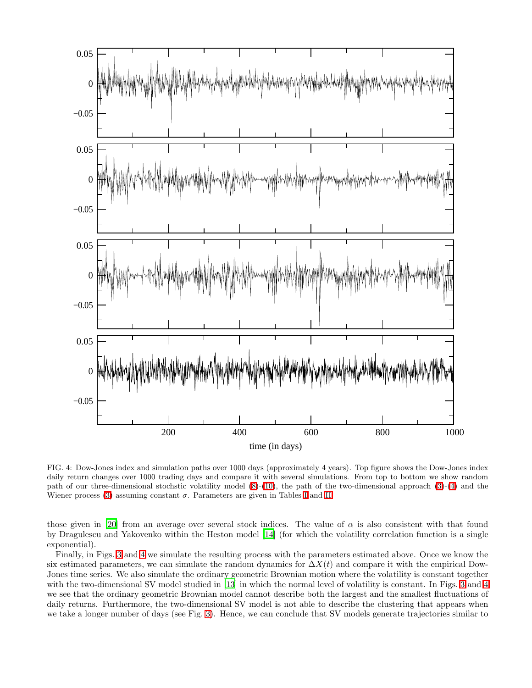

<span id="page-11-0"></span>FIG. 4: Dow-Jones index and simulation paths over 1000 days (approximately 4 years). Top figure shows the Dow-Jones index daily return changes over 1000 trading days and compare it with several simulations. From top to bottom we show random path of our three-dimensional stochstic volatility model [\(8\)](#page-2-1)-[\(10\)](#page-2-1), the path of the two-dimensional approach [\(3\)](#page-1-3)-[\(4\)](#page-1-2) and the Wiener process [\(3\)](#page-1-3) assuming constant  $\sigma$ . Parameters are given in Tables [I](#page-8-0) and [II.](#page-9-0)

those given in [\[20\]](#page-17-19) from an average over several stock indices. The value of  $\alpha$  is also consistent with that found by Dragulescu and Yakovenko within the Heston model [\[14\]](#page-17-13) (for which the volatility correlation function is a single exponential).

Finally, in Figs. [3](#page-10-0) and [4](#page-11-0) we simulate the resulting process with the parameters estimated above. Once we know the six estimated parameters, we can simulate the random dynamics for  $\Delta X(t)$  and compare it with the empirical Dow-Jones time series. We also simulate the ordinary geometric Brownian motion where the volatility is constant together with the two-dimensional SV model studied in [\[13](#page-17-12)] in which the normal level of volatility is constant. In Figs. [3](#page-10-0) and [4](#page-11-0) we see that the ordinary geometric Brownian model cannot describe both the largest and the smallest fluctuations of daily returns. Furthermore, the two-dimensional SV model is not able to describe the clustering that appears when we take a longer number of days (see Fig. [3\)](#page-10-0). Hence, we can conclude that SV models generate trajectories similar to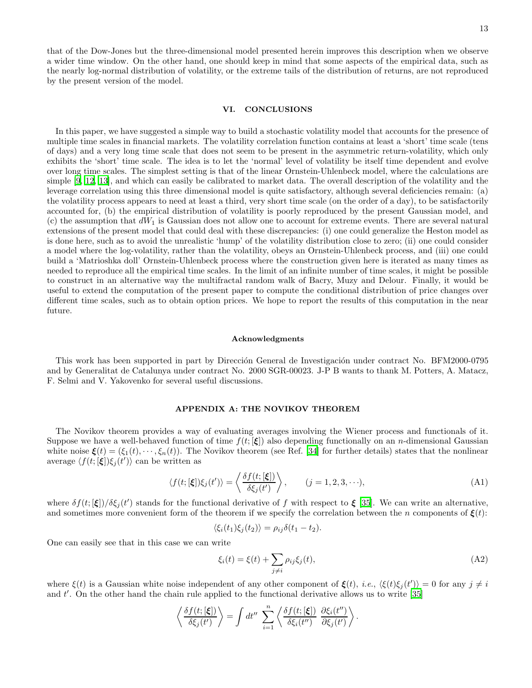that of the Dow-Jones but the three-dimensional model presented herein improves this description when we observe a wider time window. On the other hand, one should keep in mind that some aspects of the empirical data, such as the nearly log-normal distribution of volatility, or the extreme tails of the distribution of returns, are not reproduced by the present version of the model.

#### <span id="page-12-0"></span>VI. CONCLUSIONS

In this paper, we have suggested a simple way to build a stochastic volatility model that accounts for the presence of multiple time scales in financial markets. The volatility correlation function contains at least a 'short' time scale (tens of days) and a very long time scale that does not seem to be present in the asymmetric return-volatility, which only exhibits the 'short' time scale. The idea is to let the 'normal' level of volatility be itself time dependent and evolve over long time scales. The simplest setting is that of the linear Ornstein-Uhlenbeck model, where the calculations are simple [\[9,](#page-17-8) [12](#page-17-11), [13](#page-17-12)], and which can easily be calibrated to market data. The overall description of the volatility and the leverage correlation using this three dimensional model is quite satisfactory, although several deficiencies remain: (a) the volatility process appears to need at least a third, very short time scale (on the order of a day), to be satisfactorily accounted for, (b) the empirical distribution of volatility is poorly reproduced by the present Gaussian model, and (c) the assumption that  $dW_1$  is Gaussian does not allow one to account for extreme events. There are several natural extensions of the present model that could deal with these discrepancies: (i) one could generalize the Heston model as is done here, such as to avoid the unrealistic 'hump' of the volatility distribution close to zero; (ii) one could consider a model where the log-volatility, rather than the volatility, obeys an Ornstein-Uhlenbeck process, and (iii) one could build a 'Matrioshka doll' Ornstein-Uhlenbeck process where the construction given here is iterated as many times as needed to reproduce all the empirical time scales. In the limit of an infinite number of time scales, it might be possible to construct in an alternative way the multifractal random walk of Bacry, Muzy and Delour. Finally, it would be useful to extend the computation of the present paper to compute the conditional distribution of price changes over different time scales, such as to obtain option prices. We hope to report the results of this computation in the near future.

#### Acknowledgments

This work has been supported in part by Dirección General de Investigación under contract No. BFM2000-0795 and by Generalitat de Catalunya under contract No. 2000 SGR-00023. J-P B wants to thank M. Potters, A. Matacz, F. Selmi and V. Yakovenko for several useful discussions.

# <span id="page-12-1"></span>APPENDIX A: THE NOVIKOV THEOREM

The Novikov theorem provides a way of evaluating averages involving the Wiener process and functionals of it. Suppose we have a well-behaved function of time  $f(t; \mathbf{[}\xi\mathbf{[})\mathbf{]}$  also depending functionally on an *n*-dimensional Gaussian white noise  $\xi(t) = (\xi_1(t), \dots, \xi_n(t))$ . The Novikov theorem (see Ref. [\[34](#page-18-10)] for further details) states that the nonlinear average  $\langle f(t; [\xi]) \xi_j(t') \rangle$  can be written as

<span id="page-12-3"></span>
$$
\langle f(t;[\xi])\xi_j(t')\rangle = \left\langle \frac{\delta f(t;[\xi])}{\delta \xi_j(t')} \right\rangle, \qquad (j=1,2,3,\cdots),\tag{A1}
$$

where  $\delta f(t;[\xi])/\delta \xi_j(t')$  stands for the functional derivative of f with respect to  $\xi$  [\[35](#page-18-11)]. We can write an alternative, and sometimes more convenient form of the theorem if we specify the correlation between the n components of  $\xi(t)$ :

$$
\langle \xi_i(t_1)\xi_j(t_2)\rangle = \rho_{ij}\delta(t_1-t_2).
$$

One can easily see that in this case we can write

<span id="page-12-2"></span>
$$
\xi_i(t) = \xi(t) + \sum_{j \neq i} \rho_{ij} \xi_j(t),\tag{A2}
$$

where  $\xi(t)$  is a Gaussian white noise independent of any other component of  $\xi(t)$ , *i.e.*,  $\langle \xi(t)\xi_j(t') \rangle = 0$  for any  $j \neq i$ and  $t'$ . On the other hand the chain rule applied to the functional derivative allows us to write [\[35\]](#page-18-11)

$$
\left\langle \frac{\delta f(t;[\boldsymbol{\xi}])}{\delta \xi_j(t')} \right\rangle = \int dt'' \sum_{i=1}^n \left\langle \frac{\delta f(t;[\boldsymbol{\xi}])}{\delta \xi_i(t'')} \frac{\partial \xi_i(t'')}{\partial \xi_j(t')} \right\rangle.
$$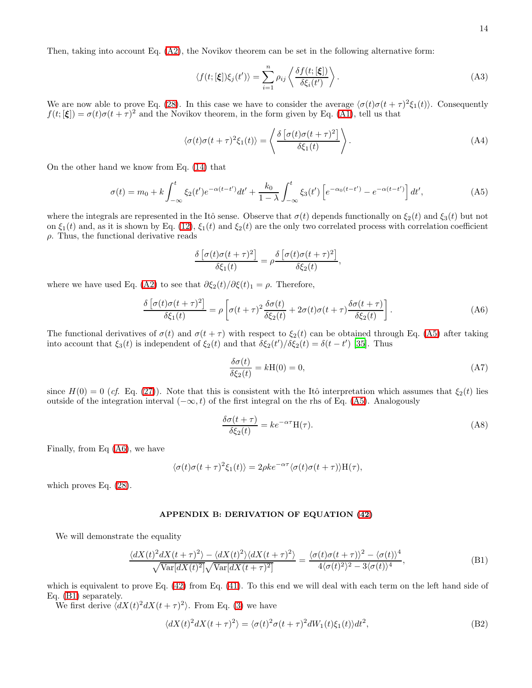Then, taking into account Eq. [\(A2\)](#page-12-2), the Novikov theorem can be set in the following alternative form:

<span id="page-13-5"></span>
$$
\langle f(t;[\xi])\xi_j(t')\rangle = \sum_{i=1}^n \rho_{ij} \left\langle \frac{\delta f(t;[\xi])}{\delta \xi_i(t')} \right\rangle.
$$
 (A3)

We are now able to prove Eq. [\(28\)](#page-4-0). In this case we have to consider the average  $\langle \sigma(t)\sigma(t+\tau)^2 \xi_1(t) \rangle$ . Consequently  $f(t;[\xi]) = \sigma(t)\sigma(t+\tau)^2$  and the Novikov theorem, in the form given by Eq. [\(A1\)](#page-12-3), tell us that

$$
\langle \sigma(t)\sigma(t+\tau)^2 \xi_1(t) \rangle = \left\langle \frac{\delta \left[ \sigma(t)\sigma(t+\tau)^2 \right]}{\delta \xi_1(t)} \right\rangle. \tag{A4}
$$

<span id="page-13-1"></span>On the other hand we know from Eq. [\(14\)](#page-3-8) that

$$
\sigma(t) = m_0 + k \int_{-\infty}^t \xi_2(t') e^{-\alpha(t-t')} dt' + \frac{k_0}{1-\lambda} \int_{-\infty}^t \xi_3(t') \left[ e^{-\alpha_0(t-t')} - e^{-\alpha(t-t')} \right] dt', \tag{A5}
$$

where the integrals are represented in the Itô sense. Observe that  $\sigma(t)$  depends functionally on  $\xi_2(t)$  and  $\xi_3(t)$  but not on  $\xi_1(t)$  and, as it is shown by Eq. [\(12\)](#page-2-2),  $\xi_1(t)$  and  $\xi_2(t)$  are the only two correlated process with correlation coefficient  $\rho$ . Thus, the functional derivative reads

$$
\frac{\delta \left[\sigma(t)\sigma(t+\tau)^2\right]}{\delta \xi_1(t)} = \rho \frac{\delta \left[\sigma(t)\sigma(t+\tau)^2\right]}{\delta \xi_2(t)},
$$

<span id="page-13-2"></span>where we have used Eq. [\(A2\)](#page-12-2) to see that  $\partial \xi_2(t)/\partial \xi(t)_1 = \rho$ . Therefore,

<span id="page-13-6"></span>
$$
\frac{\delta\left[\sigma(t)\sigma(t+\tau)^2\right]}{\delta\xi_1(t)} = \rho\left[\sigma(t+\tau)^2\frac{\delta\sigma(t)}{\delta\xi_2(t)} + 2\sigma(t)\sigma(t+\tau)\frac{\delta\sigma(t+\tau)}{\delta\xi_2(t)}\right].
$$
\n(A6)

The functional derivatives of  $\sigma(t)$  and  $\sigma(t + \tau)$  with respect to  $\xi_2(t)$  can be obtained through Eq. [\(A5\)](#page-13-1) after taking into account that  $\xi_3(t)$  is independent of  $\xi_2(t)$  and that  $\delta \xi_2(t') / \delta \xi_2(t) = \delta(t - t')$  [\[35](#page-18-11)]. Thus

$$
\frac{\delta\sigma(t)}{\delta\xi_2(t)} = k\mathcal{H}(0) = 0,\tag{A7}
$$

since  $H(0) = 0$  (cf. Eq. [\(27\)](#page-4-4)). Note that this is consistent with the Itô interpretation which assumes that  $\xi_2(t)$  lies outside of the integration interval  $(-\infty, t)$  of the first integral on the rhs of Eq. [\(A5\)](#page-13-1). Analogously

$$
\frac{\delta\sigma(t+\tau)}{\delta\xi_2(t)} = ke^{-\alpha\tau}\mathcal{H}(\tau). \tag{A8}
$$

Finally, from Eq [\(A6\)](#page-13-2), we have

<span id="page-13-7"></span>
$$
\langle \sigma(t)\sigma(t+\tau)^2 \xi_1(t) \rangle = 2\rho k e^{-\alpha \tau} \langle \sigma(t)\sigma(t+\tau) \rangle \mathcal{H}(\tau),
$$

which proves Eq. [\(28\)](#page-4-0).

# APPENDIX B: DERIVATION OF EQUATION [\(42\)](#page-6-4)

<span id="page-13-3"></span><span id="page-13-0"></span>We will demonstrate the equality

$$
\frac{\langle dX(t)^2 dX(t+\tau)^2 \rangle - \langle dX(t)^2 \rangle \langle dX(t+\tau)^2 \rangle}{\sqrt{\text{Var}[dX(t)^2]} \sqrt{\text{Var}[dX(t+\tau)^2]}} = \frac{\langle \sigma(t)\sigma(t+\tau) \rangle^2 - \langle \sigma(t) \rangle^4}{4 \langle \sigma(t)^2 \rangle^2 - 3 \langle \sigma(t) \rangle^4},\tag{B1}
$$

which is equivalent to prove Eq.  $(42)$  from Eq.  $(41)$ . To this end we will deal with each term on the left hand side of Eq. [\(B1\)](#page-13-3) separately.

<span id="page-13-4"></span>We first derive  $\langle dX(t)^2 dX(t + \tau)^2 \rangle$ . From Eq. [\(3\)](#page-1-3) we have

$$
\langle dX(t)^2 dX(t+\tau)^2 \rangle = \langle \sigma(t)^2 \sigma(t+\tau)^2 dW_1(t)\xi_1(t) \rangle dt^2, \tag{B2}
$$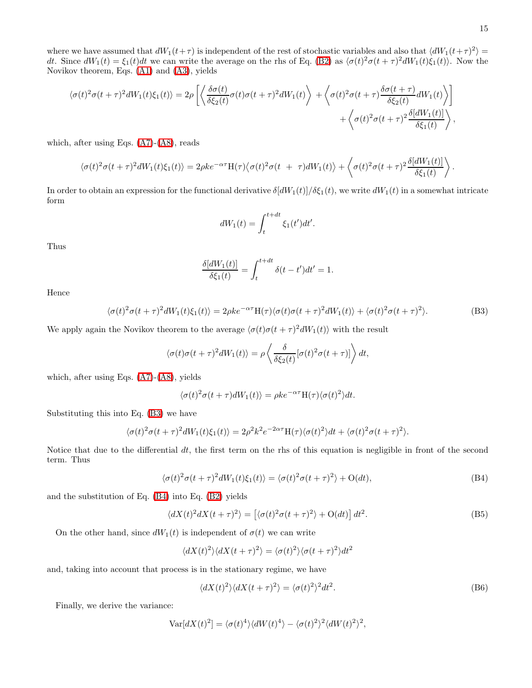.

where we have assumed that  $dW_1(t+\tau)$  is independent of the rest of stochastic variables and also that  $\langle dW_1(t+\tau)^2 \rangle$ dt. Since  $dW_1(t) = \xi_1(t)dt$  we can write the average on the rhs of Eq. [\(B2\)](#page-13-4) as  $\langle \sigma(t)^2 \sigma(t + \tau)^2 dW_1(t) \xi_1(t) \rangle$ . Now the Novikov theorem, Eqs. [\(A1\)](#page-12-3) and [\(A3\)](#page-13-5), yields

$$
\langle \sigma(t)^2 \sigma(t+\tau)^2 dW_1(t)\xi_1(t)\rangle = 2\rho \left[ \left\langle \frac{\delta\sigma(t)}{\delta\xi_2(t)} \sigma(t)\sigma(t+\tau)^2 dW_1(t) \right\rangle + \left\langle \sigma(t)^2 \sigma(t+\tau)\frac{\delta\sigma(t+\tau)}{\delta\xi_2(t)} dW_1(t) \right\rangle \right] + \left\langle \sigma(t)^2 \sigma(t+\tau)^2 \frac{\delta[dW_1(t)]}{\delta\xi_1(t)} \right\rangle,
$$

which, after using Eqs.  $(A7)-(A8)$  $(A7)-(A8)$ , reads

$$
\langle \sigma(t)^2 \sigma(t+\tau)^2 dW_1(t)\xi_1(t)\rangle = 2\rho k e^{-\alpha \tau} H(\tau) \langle \sigma(t)^2 \sigma(t+\tau) dW_1(t)\rangle + \langle \sigma(t)^2 \sigma(t+\tau)^2 \frac{\delta[dW_1(t)]}{\delta\xi_1(t)} \rangle
$$

In order to obtain an expression for the functional derivative  $\delta[dW_1(t)]/\delta\xi_1(t)$ , we write  $dW_1(t)$  in a somewhat intricate form

$$
dW_1(t) = \int_t^{t+dt} \xi_1(t')dt'.
$$

Thus

$$
\frac{\delta[dW_1(t)]}{\delta\xi_1(t)} = \int_t^{t+dt} \delta(t-t')dt' = 1.
$$

<span id="page-14-0"></span>Hence

$$
\langle \sigma(t)^2 \sigma(t+\tau)^2 dW_1(t)\xi_1(t)\rangle = 2\rho k e^{-\alpha \tau} H(\tau) \langle \sigma(t) \sigma(t+\tau)^2 dW_1(t)\rangle + \langle \sigma(t)^2 \sigma(t+\tau)^2\rangle. \tag{B3}
$$

We apply again the Novikov theorem to the average  $\langle \sigma(t)\sigma(t + \tau)^2 dW_1(t) \rangle$  with the result

$$
\langle \sigma(t)\sigma(t+\tau)^2 dW_1(t)\rangle = \rho \left\langle \frac{\delta}{\delta \xi_2(t)} [\sigma(t)^2 \sigma(t+\tau)] \right\rangle dt,
$$

which, after using Eqs. [\(A7\)](#page-13-6)-[\(A8\)](#page-13-7), yields

$$
\langle \sigma(t)^2 \sigma(t+\tau) dW_1(t) \rangle = \rho k e^{-\alpha \tau} H(\tau) \langle \sigma(t)^2 \rangle dt.
$$

Substituting this into Eq. [\(B3\)](#page-14-0) we have

<span id="page-14-1"></span>
$$
\langle \sigma(t)^2 \sigma(t+\tau)^2 dW_1(t)\xi_1(t)\rangle = 2\rho^2 k^2 e^{-2\alpha \tau} H(\tau) \langle \sigma(t)^2 \rangle dt + \langle \sigma(t)^2 \sigma(t+\tau)^2 \rangle.
$$

Notice that due to the differential  $dt$ , the first term on the rhs of this equation is negligible in front of the second term. Thus

$$
\langle \sigma(t)^2 \sigma(t+\tau)^2 dW_1(t)\xi_1(t)\rangle = \langle \sigma(t)^2 \sigma(t+\tau)^2 \rangle + O(dt), \tag{B4}
$$

and the substitution of Eq. [\(B4\)](#page-14-1) into Eq. [\(B2\)](#page-13-4) yields

$$
\langle dX(t)^2 dX(t+\tau)^2 \rangle = \left[ \langle \sigma(t)^2 \sigma(t+\tau)^2 \rangle + O(dt) \right] dt^2.
$$
 (B5)

<span id="page-14-2"></span>On the other hand, since  $dW_1(t)$  is independent of  $\sigma(t)$  we can write

<span id="page-14-3"></span>
$$
\langle dX(t)^{2}\rangle \langle dX(t+\tau)^{2}\rangle = \langle \sigma(t)^{2}\rangle \langle \sigma(t+\tau)^{2}\rangle dt^{2}
$$

and, taking into account that process is in the stationary regime, we have

$$
\langle dX(t)^2 \rangle \langle dX(t+\tau)^2 \rangle = \langle \sigma(t)^2 \rangle^2 dt^2. \tag{B6}
$$

Finally, we derive the variance:

$$
Var[dX(t)^{2}] = \langle \sigma(t)^{4} \rangle \langle dW(t)^{4} \rangle - \langle \sigma(t)^{2} \rangle^{2} \langle dW(t)^{2} \rangle^{2},
$$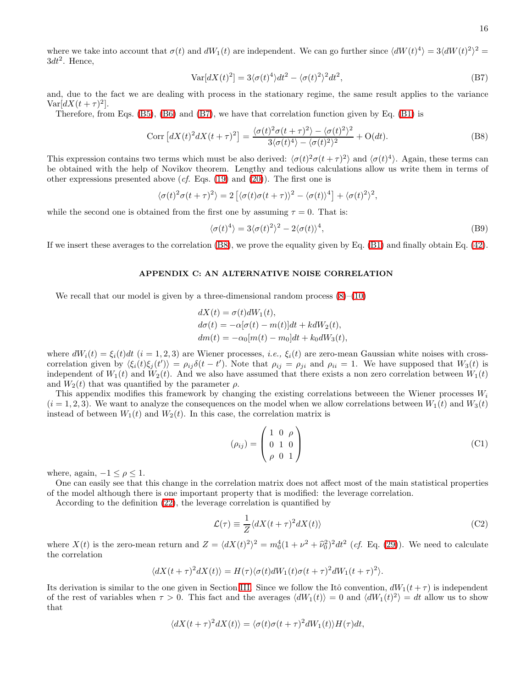where we take into account that  $\sigma(t)$  and  $dW_1(t)$  are independent. We can go further since  $\langle dW(t)^4 \rangle = 3\langle dW(t)^2 \rangle^2 =$  $3dt^2$ . Hence,

<span id="page-15-2"></span>
$$
Var[dX(t)^{2}] = 3\langle\sigma(t)^{4}\rangle dt^{2} - \langle\sigma(t)^{2}\rangle^{2}dt^{2},
$$
\n(B7)

and, due to the fact we are dealing with process in the stationary regime, the same result applies to the variance Var[ $dX(t+\tau)^2$ ].

<span id="page-15-3"></span>Therefore, from Eqs. [\(B5\)](#page-14-2), [\(B6\)](#page-14-3) and [\(B7\)](#page-15-2), we have that correlation function given by Eq. [\(B1\)](#page-13-3) is

$$
\text{Corr}\left[dX(t)^2dX(t+\tau)^2\right] = \frac{\langle\sigma(t)^2\sigma(t+\tau)^2\rangle - \langle\sigma(t)^2\rangle^2}{3\langle\sigma(t)^4\rangle - \langle\sigma(t)^2\rangle^2} + \text{O}(dt). \tag{B8}
$$

This expression contains two terms which must be also derived:  $\langle \sigma(t)^2 \sigma(t + \tau)^2 \rangle$  and  $\langle \sigma(t)^4 \rangle$ . Again, these terms can be obtained with the help of Novikov theorem. Lengthy and tedious calculations allow us write them in terms of other expressions presented above (*cf.* Eqs. [\(19\)](#page-3-3) and [\(20\)](#page-3-1)). The first one is

<span id="page-15-1"></span>
$$
\langle \sigma(t)^2 \sigma(t+\tau)^2 \rangle = 2 \left[ \langle \sigma(t) \sigma(t+\tau) \rangle^2 - \langle \sigma(t) \rangle^4 \right] + \langle \sigma(t)^2 \rangle^2,
$$

while the second one is obtained from the first one by assuming  $\tau = 0$ . That is:

$$
\langle \sigma(t)^4 \rangle = 3 \langle \sigma(t)^2 \rangle^2 - 2 \langle \sigma(t) \rangle^4, \tag{B9}
$$

<span id="page-15-0"></span>If we insert these averages to the correlation [\(B8\)](#page-15-3), we prove the equality given by Eq. [\(B1\)](#page-13-3) and finally obtain Eq. [\(42\)](#page-6-4).

### APPENDIX C: AN ALTERNATIVE NOISE CORRELATION

We recall that our model is given by a three-dimensional random process  $(8)$ – $(10)$ 

$$
dX(t) = \sigma(t)dW_1(t),
$$
  
\n
$$
d\sigma(t) = -\alpha[\sigma(t) - m(t)]dt + kdW_2(t),
$$
  
\n
$$
dm(t) = -\alpha_0[m(t) - m_0]dt + k_0dW_3(t),
$$

where  $dW_i(t) = \xi_i(t)dt$  (i = 1, 2, 3) are Wiener processes, i.e.,  $\xi_i(t)$  are zero-mean Gaussian white noises with crosscorrelation given by  $\langle \xi_i(t) \xi_j(t') \rangle = \rho_{ij} \delta(t-t')$ . Note that  $\rho_{ij} = \rho_{ji}$  and  $\rho_{ii} = 1$ . We have supposed that  $W_3(t)$  is independent of  $W_1(t)$  and  $W_2(t)$ . And we also have assumed that there exists a non zero correlation between  $W_1(t)$ and  $W_2(t)$  that was quantified by the parameter  $\rho$ .

This appendix modifies this framework by changing the existing correlations between the Wiener processes  $W_i$  $(i = 1, 2, 3)$ . We want to analyze the consequences on the model when we allow correlations between  $W_1(t)$  and  $W_3(t)$ instead of between  $W_1(t)$  and  $W_2(t)$ . In this case, the correlation matrix is

<span id="page-15-4"></span>
$$
(\rho_{ij}) = \begin{pmatrix} 1 & 0 & \rho \\ 0 & 1 & 0 \\ \rho & 0 & 1 \end{pmatrix}
$$
 (C1)

where, again,  $-1 \leq \rho \leq 1$ .

One can easily see that this change in the correlation matrix does not affect most of the main statistical properties of the model although there is one important property that is modified: the leverage correlation.

According to the definition [\(22\)](#page-3-4), the leverage correlation is quantified by

$$
\mathcal{L}(\tau) \equiv \frac{1}{Z} \langle dX(t+\tau)^2 dX(t) \rangle \tag{C2}
$$

where  $X(t)$  is the zero-mean return and  $Z = \langle dX(t)^2 \rangle^2 = m_0^4 (1 + \nu^2 + \hat{\nu}_0^2)^2 dt^2$  (*cf.* Eq. [\(29\)](#page-4-1)). We need to calculate the correlation

<span id="page-15-5"></span>
$$
\langle dX(t+\tau)^2 dX(t) \rangle = H(\tau) \langle \sigma(t) dW_1(t) \sigma(t+\tau)^2 dW_1(t+\tau)^2 \rangle.
$$

Its derivation is similar to the one given in Section [III.](#page-3-0) Since we follow the Itô convention,  $dW_1(t + \tau)$  is independent of the rest of variables when  $\tau > 0$ . This fact and the averages  $\langle dW_1(t) \rangle = 0$  and  $\langle dW_1(t)^2 \rangle = dt$  allow us to show that

$$
\langle dX(t+\tau)^2 dX(t) \rangle = \langle \sigma(t)\sigma(t+\tau)^2 dW_1(t) \rangle H(\tau) dt,
$$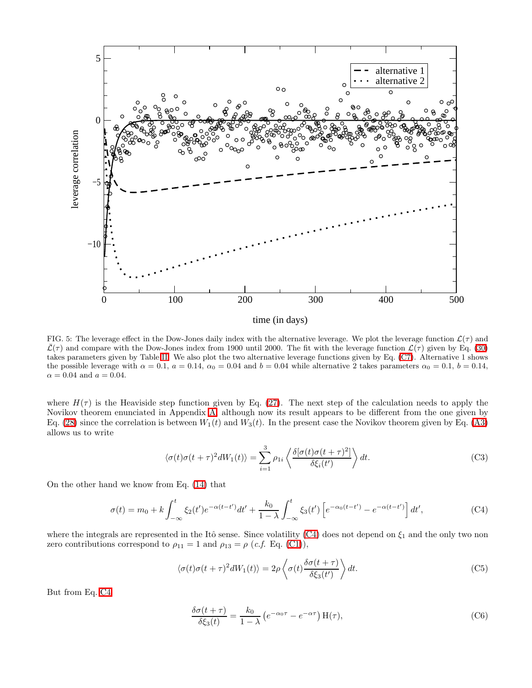

<span id="page-16-1"></span>FIG. 5: The leverage effect in the Dow-Jones daily index with the alternative leverage. We plot the leverage function  $\mathcal{L}(\tau)$  and  $\bar{\mathcal{L}}(\tau)$  and compare with the Dow-Jones index from 1900 until 2000. The fit with the leverage function  $\mathcal{L}(\tau)$  given by Eq. [\(30\)](#page-4-2) takes parameters given by Table [II.](#page-9-0) We also plot the two alternative leverage functions given by Eq. [\(C7\)](#page-17-23). Alternative 1 shows the possible leverage with  $\alpha = 0.1$ ,  $a = 0.14$ ,  $\alpha_0 = 0.04$  and  $b = 0.04$  while alternative 2 takes parameters  $\alpha_0 = 0.1$ ,  $b = 0.14$ ,  $\alpha = 0.04$  and  $a = 0.04$ .

where  $H(\tau)$  is the Heaviside step function given by Eq. [\(27\)](#page-4-4). The next step of the calculation needs to apply the Novikov theorem enunciated in Appendix [A,](#page-12-1) although now its result appears to be different from the one given by Eq. [\(28\)](#page-4-0) since the correlation is between  $W_1(t)$  and  $W_3(t)$ . In the present case the Novikov theorem given by Eq. [\(A3\)](#page-13-5) allows us to write

$$
\langle \sigma(t)\sigma(t+\tau)^2 dW_1(t) \rangle = \sum_{i=1}^3 \rho_{1i} \left\langle \frac{\delta[\sigma(t)\sigma(t+\tau)^2]}{\delta\xi_i(t')} \right\rangle dt.
$$
 (C3)

<span id="page-16-0"></span>On the other hand we know from Eq. [\(14\)](#page-3-8) that

$$
\sigma(t) = m_0 + k \int_{-\infty}^t \xi_2(t') e^{-\alpha(t-t')} dt' + \frac{k_0}{1-\lambda} \int_{-\infty}^t \xi_3(t') \left[ e^{-\alpha_0(t-t')} - e^{-\alpha(t-t')} \right] dt', \tag{C4}
$$

where the integrals are represented in the Itô sense. Since volatility  $(C4)$  does not depend on  $\xi_1$  and the only two non zero contributions correspond to  $\rho_{11} = 1$  and  $\rho_{13} = \rho$  (*c.f.* Eq. [\(C1\)](#page-15-4)),

$$
\langle \sigma(t)\sigma(t+\tau)^2 dW_1(t) \rangle = 2\rho \left\langle \sigma(t) \frac{\delta\sigma(t+\tau)}{\delta\xi_3(t')} \right\rangle dt.
$$
 (C5)

But from Eq. [C4](#page-16-0)

$$
\frac{\delta\sigma(t+\tau)}{\delta\xi_3(t)} = \frac{k_0}{1-\lambda} \left( e^{-\alpha_0 \tau} - e^{-\alpha \tau} \right) \mathcal{H}(\tau),\tag{C6}
$$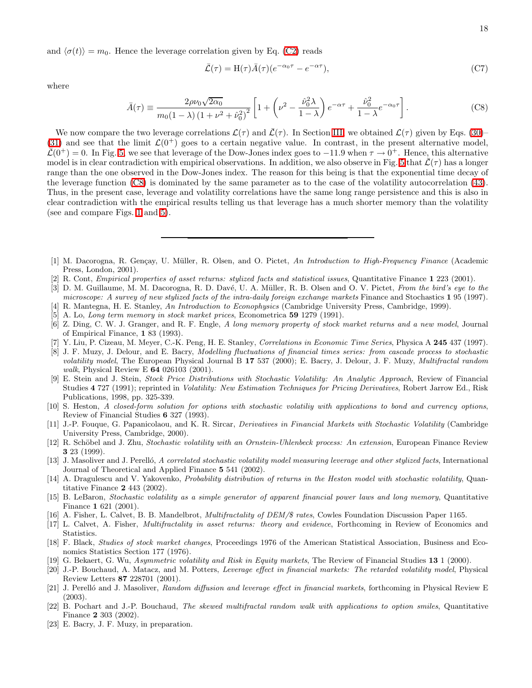and  $\langle \sigma(t) \rangle = m_0$ . Hence the leverage correlation given by Eq. [\(C2\)](#page-15-5) reads

$$
\bar{\mathcal{L}}(\tau) = H(\tau)\bar{A}(\tau)(e^{-\alpha_0 \tau} - e^{-\alpha \tau}), \tag{C7}
$$

<span id="page-17-24"></span>where

<span id="page-17-23"></span>
$$
\bar{A}(\tau) \equiv \frac{2\rho\nu_0\sqrt{2\alpha_0}}{m_0(1-\lambda)\left(1+\nu^2+\hat{\nu}_0^2\right)^2} \left[1+\left(\nu^2-\frac{\hat{\nu}_0^2\lambda}{1-\lambda}\right)e^{-\alpha\tau}+\frac{\hat{\nu}_0^2}{1-\lambda}e^{-\alpha_0\tau}\right].
$$
\n(C8)

We now compare the two leverage correlations  $\mathcal{L}(\tau)$  and  $\mathcal{L}(\tau)$ . In Section [III,](#page-3-0) we obtained  $\mathcal{L}(\tau)$  given by Eqs. [\(30\)](#page-4-2)– [\(31\)](#page-5-6) and see that the limit  $\mathcal{L}(0^+)$  goes to a certain negative value. In contrast, in the present alternative model,  $\tilde{\mathcal{L}}(0^+) = 0$ . In Fig. [5,](#page-16-1) we see that leverage of the Dow-Jones index goes to −11.9 when  $\tau \to 0^+$ . Hence, this alternative model is in clear contradiction with empirical observations. In addition, we also observe in Fig. [5](#page-16-1) that  $\mathcal{L}(\tau)$  has a longer range than the one observed in the Dow-Jones index. The reason for this being is that the exponential time decay of the leverage function [\(C8\)](#page-17-24) is dominated by the same parameter as to the case of the volatility autocorrelation [\(43\)](#page-6-1). Thus, in the present case, leverage and volatility correlations have the same long range persistence and this is also in clear contradiction with the empirical results telling us that leverage has a much shorter memory than the volatility (see and compare Figs. [1](#page-7-1) and [5\)](#page-16-1).

- <span id="page-17-0"></span>[1] M. Dacorogna, R. Gençay, U. Müller, R. Olsen, and O. Pictet, An Introduction to High-Frequency Finance (Academic Press, London, 2001).
- <span id="page-17-1"></span>[2] R. Cont, Empirical properties of asset returns: stylized facts and statistical issues, Quantitative Finance 1 223 (2001).
- <span id="page-17-2"></span>[3] D. M. Guillaume, M. M. Dacorogna, R. D. Davé, U. A. Müller, R. B. Olsen and O. V. Pictet, From the bird's eye to the microscope: A survey of new stylized facts of the intra-daily foreign exchange markets Finance and Stochastics 1 95 (1997).
- <span id="page-17-3"></span>[4] R. Mantegna, H. E. Stanley, An Introduction to Econophysics (Cambridge University Press, Cambridge, 1999).
- <span id="page-17-4"></span>[5] A. Lo, Long term memory in stock market prices, Econometrica 59 1279 (1991).
- <span id="page-17-5"></span>[6] Z. Ding, C. W. J. Granger, and R. F. Engle, A long memory property of stock market returns and a new model, Journal of Empirical Finance, 1 83 (1993).
- <span id="page-17-6"></span>[7] Y. Liu, P. Cizeau, M. Meyer, C.-K. Peng, H. E. Stanley, Correlations in Economic Time Series, Physica A 245 437 (1997).
- <span id="page-17-7"></span>[8] J. F. Muzy, J. Delour, and E. Bacry, Modelling fluctuations of financial times series: from cascade process to stochastic volatility model, The European Physical Journal B 17 537 (2000); E. Bacry, J. Delour, J. F. Muzy, Multifractal random walk, Physical Review E 64 026103 (2001).
- <span id="page-17-8"></span>[9] E. Stein and J. Stein, Stock Price Distributions with Stochastic Volatility: An Analytic Approach, Review of Financial Studies 4 727 (1991); reprinted in Volatility: New Estimation Techniques for Pricing Derivatives, Robert Jarrow Ed., Risk Publications, 1998, pp. 325-339.
- <span id="page-17-9"></span>[10] S. Heston, A closed-form solution for options with stochastic volatiliy with applications to bond and currency options, Review of Financial Studies 6 327 (1993).
- <span id="page-17-10"></span>[11] J.-P. Fouque, G. Papanicolaou, and K. R. Sircar, Derivatives in Financial Markets with Stochastic Volatility (Cambridge University Press, Cambridge, 2000).
- <span id="page-17-11"></span>[12] R. Schöbel and J. Zhu, Stochastic volatility with an Ornstein-Uhlenbeck process: An extension, European Finance Review 3 23 (1999).
- <span id="page-17-12"></span>[13] J. Masoliver and J. Perelló, A correlated stochastic volatility model measuring leverage and other stylized facts, International Journal of Theoretical and Applied Finance 5 541 (2002).
- <span id="page-17-13"></span>[14] A. Dragulescu and V. Yakovenko, Probability distribution of returns in the Heston model with stochastic volatility, Quantitative Finance 2 443 (2002).
- <span id="page-17-14"></span>[15] B. LeBaron, Stochastic volatility as a simple generator of apparent financial power laws and long memory, Quantitative Finance 1 621 (2001).
- <span id="page-17-15"></span>[16] A. Fisher, L. Calvet, B. B. Mandelbrot, Multifractality of DEM/\$ rates, Cowles Foundation Discussion Paper 1165.
- <span id="page-17-16"></span>[17] L. Calvet, A. Fisher, Multifractality in asset returns: theory and evidence, Forthcoming in Review of Economics and Statistics.
- <span id="page-17-17"></span>[18] F. Black, Studies of stock market changes, Proceedings 1976 of the American Statistical Association, Business and Economics Statistics Section 177 (1976).
- <span id="page-17-18"></span>[19] G. Bekaert, G. Wu, Asymmetric volatility and Risk in Equity markets, The Review of Financial Studies 13 1 (2000).
- <span id="page-17-19"></span>[20] J.-P. Bouchaud, A. Matacz, and M. Potters, Leverage effect in financial markets: The retarded volatility model, Physical Review Letters 87 228701 (2001).
- <span id="page-17-20"></span>[21] J. Perelló and J. Masoliver, Random diffusion and leverage effect in financial markets, forthcoming in Physical Review E (2003).
- <span id="page-17-21"></span>[22] B. Pochart and J.-P. Bouchaud, The skewed multifractal random walk with applications to option smiles, Quantitative Finance 2 303 (2002).
- <span id="page-17-22"></span>[23] E. Bacry, J. F. Muzy, in preparation.